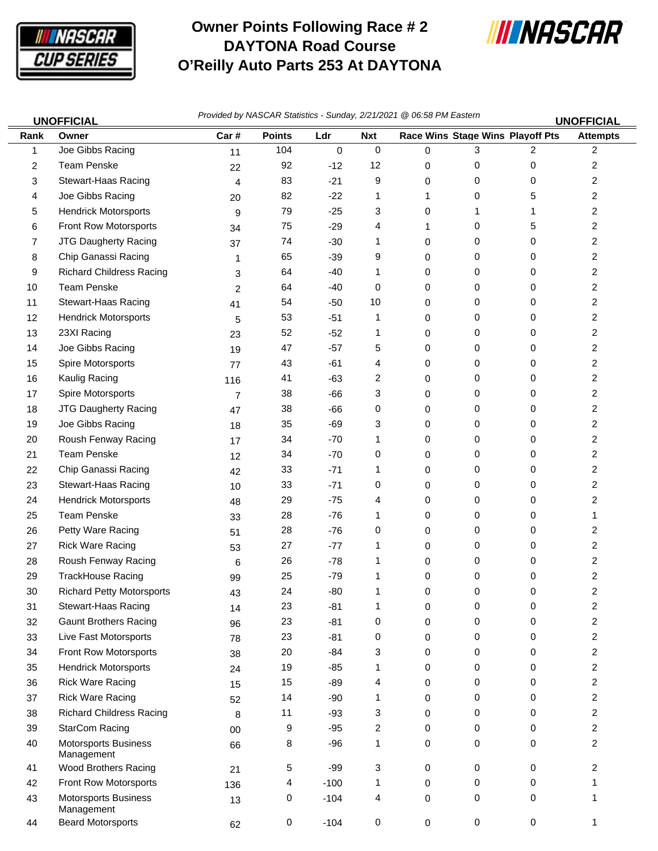

 $=$ 

## **Owner Points Following Race # 2 DAYTONA Road Course O'Reilly Auto Parts 253 At DAYTONA**



|      | <b>UNOFFICIAL</b>                         |                | Provided by NASCAR Statistics - Sunday, 2/21/2021 @ 06:58 PM Eastern<br><b>UNOFFICIAL</b> |        |                |   |   |                                  |                         |
|------|-------------------------------------------|----------------|-------------------------------------------------------------------------------------------|--------|----------------|---|---|----------------------------------|-------------------------|
| Rank | Owner                                     | Car#           | <b>Points</b>                                                                             | Ldr    | <b>Nxt</b>     |   |   | Race Wins Stage Wins Playoff Pts | <b>Attempts</b>         |
| 1    | Joe Gibbs Racing                          | 11             | 104                                                                                       | 0      | $\mathbf 0$    | 0 | 3 | $\overline{2}$                   | $\overline{2}$          |
| 2    | <b>Team Penske</b>                        | 22             | 92                                                                                        | $-12$  | 12             | 0 | 0 | 0                                | $\overline{\mathbf{c}}$ |
| 3    | Stewart-Haas Racing                       | $\overline{4}$ | 83                                                                                        | $-21$  | 9              | 0 | 0 | 0                                | 2                       |
| 4    | Joe Gibbs Racing                          | 20             | 82                                                                                        | $-22$  | 1              | 1 | 0 | 5                                | $\overline{\mathbf{c}}$ |
| 5    | <b>Hendrick Motorsports</b>               | 9              | 79                                                                                        | $-25$  | 3              | 0 | 1 |                                  | $\overline{c}$          |
| 6    | Front Row Motorsports                     | 34             | 75                                                                                        | $-29$  | 4              | 1 | 0 | 5                                | $\overline{2}$          |
| 7    | JTG Daugherty Racing                      | 37             | 74                                                                                        | $-30$  | 1              | 0 | 0 | 0                                | 2                       |
| 8    | Chip Ganassi Racing                       | 1              | 65                                                                                        | $-39$  | 9              | 0 | 0 | 0                                | $\overline{2}$          |
| 9    | <b>Richard Childress Racing</b>           | 3              | 64                                                                                        | $-40$  | 1              | 0 | 0 | 0                                | $\overline{2}$          |
| 10   | <b>Team Penske</b>                        | $\overline{2}$ | 64                                                                                        | $-40$  | 0              | 0 | 0 | 0                                | $\overline{\mathbf{c}}$ |
| 11   | Stewart-Haas Racing                       | 41             | 54                                                                                        | $-50$  | 10             | 0 | 0 | 0                                | $\overline{c}$          |
| 12   | <b>Hendrick Motorsports</b>               | 5              | 53                                                                                        | $-51$  | 1              | 0 | 0 | 0                                | 2                       |
| 13   | 23XI Racing                               | 23             | 52                                                                                        | $-52$  | 1              | 0 | 0 | 0                                | $\overline{\mathbf{c}}$ |
| 14   | Joe Gibbs Racing                          | 19             | 47                                                                                        | $-57$  | 5              | 0 | 0 | 0                                | 2                       |
| 15   | Spire Motorsports                         | 77             | 43                                                                                        | $-61$  | 4              | 0 | 0 | 0                                | $\overline{\mathbf{c}}$ |
| 16   | Kaulig Racing                             | 116            | 41                                                                                        | $-63$  | 2              | 0 | 0 | 0                                | $\overline{c}$          |
| 17   | Spire Motorsports                         | $\overline{7}$ | 38                                                                                        | $-66$  | 3              | 0 | 0 | 0                                | 2                       |
| 18   | JTG Daugherty Racing                      | 47             | 38                                                                                        | $-66$  | 0              | 0 | 0 | 0                                | $\overline{\mathbf{c}}$ |
| 19   | Joe Gibbs Racing                          | 18             | 35                                                                                        | $-69$  | 3              | 0 | 0 | 0                                | $\overline{2}$          |
| 20   | Roush Fenway Racing                       | 17             | 34                                                                                        | $-70$  | 1              | 0 | 0 | 0                                | $\overline{2}$          |
| 21   | <b>Team Penske</b>                        | 12             | 34                                                                                        | $-70$  | 0              | 0 | 0 | 0                                | 2                       |
| 22   | Chip Ganassi Racing                       | 42             | 33                                                                                        | $-71$  | 1              | 0 | 0 | 0                                | $\overline{2}$          |
| 23   | Stewart-Haas Racing                       | 10             | 33                                                                                        | $-71$  | 0              | 0 | 0 | 0                                | $\overline{\mathbf{c}}$ |
| 24   | <b>Hendrick Motorsports</b>               | 48             | 29                                                                                        | $-75$  | 4              | 0 | 0 | 0                                | 2                       |
| 25   | <b>Team Penske</b>                        | 33             | 28                                                                                        | $-76$  | 1              | 0 | 0 | 0                                | 1                       |
| 26   | Petty Ware Racing                         | 51             | 28                                                                                        | $-76$  | 0              | 0 | 0 | 0                                | 2                       |
| 27   | <b>Rick Ware Racing</b>                   | 53             | 27                                                                                        | $-77$  | 1              | 0 | 0 | 0                                | $\overline{\mathbf{c}}$ |
| 28   | Roush Fenway Racing                       | 6              | 26                                                                                        | $-78$  | 1              | 0 | 0 | 0                                | 2                       |
| 29   | TrackHouse Racing                         | 99             | 25                                                                                        | $-79$  | 1              | 0 | 0 | 0                                | 2                       |
| 30   | <b>Richard Petty Motorsports</b>          | 43             | 24                                                                                        | $-80$  | 4              | 0 | 0 | 0                                | 2                       |
| 31   | Stewart-Haas Racing                       | 14             | 23                                                                                        | $-81$  | 1              | 0 | 0 | 0                                | $\overline{c}$          |
| 32   | <b>Gaunt Brothers Racing</b>              | 96             | 23                                                                                        | $-81$  | 0              | 0 | 0 | 0                                | $\overline{c}$          |
| 33   | Live Fast Motorsports                     | 78             | 23                                                                                        | $-81$  | 0              | 0 | 0 | 0                                | $\overline{c}$          |
| 34   | Front Row Motorsports                     | 38             | 20                                                                                        | $-84$  | 3              | 0 | 0 | 0                                | $\overline{c}$          |
| 35   | <b>Hendrick Motorsports</b>               | 24             | 19                                                                                        | $-85$  | 1              | 0 | 0 | 0                                | $\overline{c}$          |
| 36   | <b>Rick Ware Racing</b>                   | 15             | 15                                                                                        | $-89$  | 4              | 0 | 0 | 0                                | $\overline{c}$          |
| 37   | <b>Rick Ware Racing</b>                   | 52             | 14                                                                                        | $-90$  | 1              | 0 | 0 | 0                                | $\overline{c}$          |
| 38   | <b>Richard Childress Racing</b>           | 8              | 11                                                                                        | $-93$  | 3              | 0 | 0 | 0                                | $\overline{c}$          |
| 39   | <b>StarCom Racing</b>                     | 00             | 9                                                                                         | $-95$  | $\overline{2}$ | 0 | 0 | 0                                | $\overline{2}$          |
| 40   | <b>Motorsports Business</b><br>Management | 66             | 8                                                                                         | $-96$  | 1              | 0 | 0 | 0                                | $\overline{c}$          |
| 41   | Wood Brothers Racing                      | 21             | 5                                                                                         | $-99$  | 3              | 0 | 0 | 0                                | 2                       |
| 42   | Front Row Motorsports                     | 136            | 4                                                                                         | $-100$ | 1              | 0 | 0 | 0                                | 1                       |
| 43   | <b>Motorsports Business</b><br>Management | 13             | 0                                                                                         | $-104$ | 4              | 0 | 0 | 0                                | 1                       |
| 44   | <b>Beard Motorsports</b>                  | 62             | 0                                                                                         | $-104$ | 0              | 0 | 0 | 0                                | $\mathbf{1}$            |